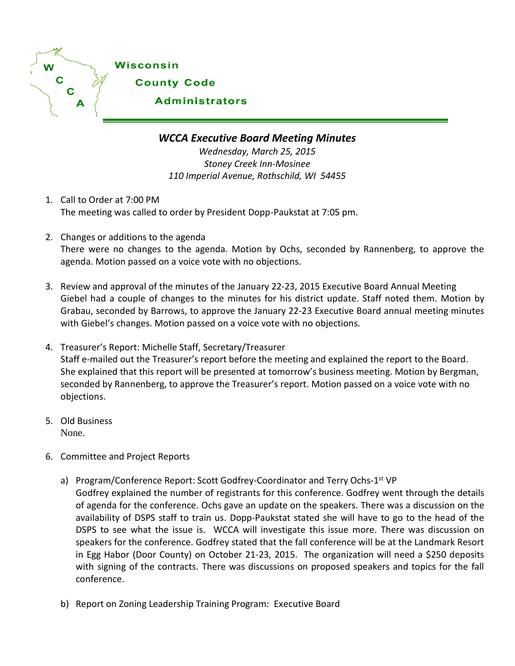

## *WCCA Executive Board Meeting Minutes*

*Wednesday, March 25, 2015 Stoney Creek Inn-Mosinee 110 Imperial Avenue, Rothschild, WI 54455*

- 1. Call to Order at 7:00 PM The meeting was called to order by President Dopp-Paukstat at 7:05 pm.
- 2. Changes or additions to the agenda There were no changes to the agenda. Motion by Ochs, seconded by Rannenberg, to approve the agenda. Motion passed on a voice vote with no objections.
- 3. Review and approval of the minutes of the January 22-23, 2015 Executive Board Annual Meeting Giebel had a couple of changes to the minutes for his district update. Staff noted them. Motion by Grabau, seconded by Barrows, to approve the January 22-23 Executive Board annual meeting minutes with Giebel's changes. Motion passed on a voice vote with no objections.
- 4. Treasurer's Report: Michelle Staff, Secretary/Treasurer Staff e-mailed out the Treasurer's report before the meeting and explained the report to the Board. She explained that this report will be presented at tomorrow's business meeting. Motion by Bergman, seconded by Rannenberg, to approve the Treasurer's report. Motion passed on a voice vote with no objections.
- 5. Old Business None.
- 6. Committee and Project Reports
	- a) Program/Conference Report: Scott Godfrey-Coordinator and Terry Ochs-1<sup>st</sup> VP Godfrey explained the number of registrants for this conference. Godfrey went through the details of agenda for the conference. Ochs gave an update on the speakers. There was a discussion on the availability of DSPS staff to train us. Dopp-Paukstat stated she will have to go to the head of the DSPS to see what the issue is. WCCA will investigate this issue more. There was discussion on speakers for the conference. Godfrey stated that the fall conference will be at the Landmark Resort in Egg Habor (Door County) on October 21-23, 2015. The organization will need a \$250 deposits with signing of the contracts. There was discussions on proposed speakers and topics for the fall conference.
	- b) Report on Zoning Leadership Training Program: Executive Board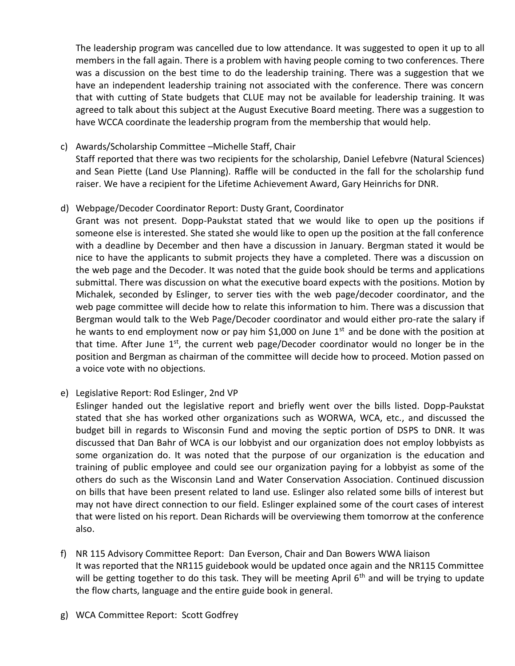The leadership program was cancelled due to low attendance. It was suggested to open it up to all members in the fall again. There is a problem with having people coming to two conferences. There was a discussion on the best time to do the leadership training. There was a suggestion that we have an independent leadership training not associated with the conference. There was concern that with cutting of State budgets that CLUE may not be available for leadership training. It was agreed to talk about this subject at the August Executive Board meeting. There was a suggestion to have WCCA coordinate the leadership program from the membership that would help.

c) Awards/Scholarship Committee –Michelle Staff, Chair

Staff reported that there was two recipients for the scholarship, Daniel Lefebvre (Natural Sciences) and Sean Piette (Land Use Planning). Raffle will be conducted in the fall for the scholarship fund raiser. We have a recipient for the Lifetime Achievement Award, Gary Heinrichs for DNR.

d) Webpage/Decoder Coordinator Report: Dusty Grant, Coordinator

Grant was not present. Dopp-Paukstat stated that we would like to open up the positions if someone else is interested. She stated she would like to open up the position at the fall conference with a deadline by December and then have a discussion in January. Bergman stated it would be nice to have the applicants to submit projects they have a completed. There was a discussion on the web page and the Decoder. It was noted that the guide book should be terms and applications submittal. There was discussion on what the executive board expects with the positions. Motion by Michalek, seconded by Eslinger, to server ties with the web page/decoder coordinator, and the web page committee will decide how to relate this information to him. There was a discussion that Bergman would talk to the Web Page/Decoder coordinator and would either pro-rate the salary if he wants to end employment now or pay him \$1,000 on June  $1<sup>st</sup>$  and be done with the position at that time. After June 1<sup>st</sup>, the current web page/Decoder coordinator would no longer be in the position and Bergman as chairman of the committee will decide how to proceed. Motion passed on a voice vote with no objections.

e) Legislative Report: Rod Eslinger, 2nd VP

Eslinger handed out the legislative report and briefly went over the bills listed. Dopp-Paukstat stated that she has worked other organizations such as WORWA, WCA, etc., and discussed the budget bill in regards to Wisconsin Fund and moving the septic portion of DSPS to DNR. It was discussed that Dan Bahr of WCA is our lobbyist and our organization does not employ lobbyists as some organization do. It was noted that the purpose of our organization is the education and training of public employee and could see our organization paying for a lobbyist as some of the others do such as the Wisconsin Land and Water Conservation Association. Continued discussion on bills that have been present related to land use. Eslinger also related some bills of interest but may not have direct connection to our field. Eslinger explained some of the court cases of interest that were listed on his report. Dean Richards will be overviewing them tomorrow at the conference also.

f) NR 115 Advisory Committee Report: Dan Everson, Chair and Dan Bowers WWA liaison It was reported that the NR115 guidebook would be updated once again and the NR115 Committee will be getting together to do this task. They will be meeting April  $6<sup>th</sup>$  and will be trying to update the flow charts, language and the entire guide book in general.